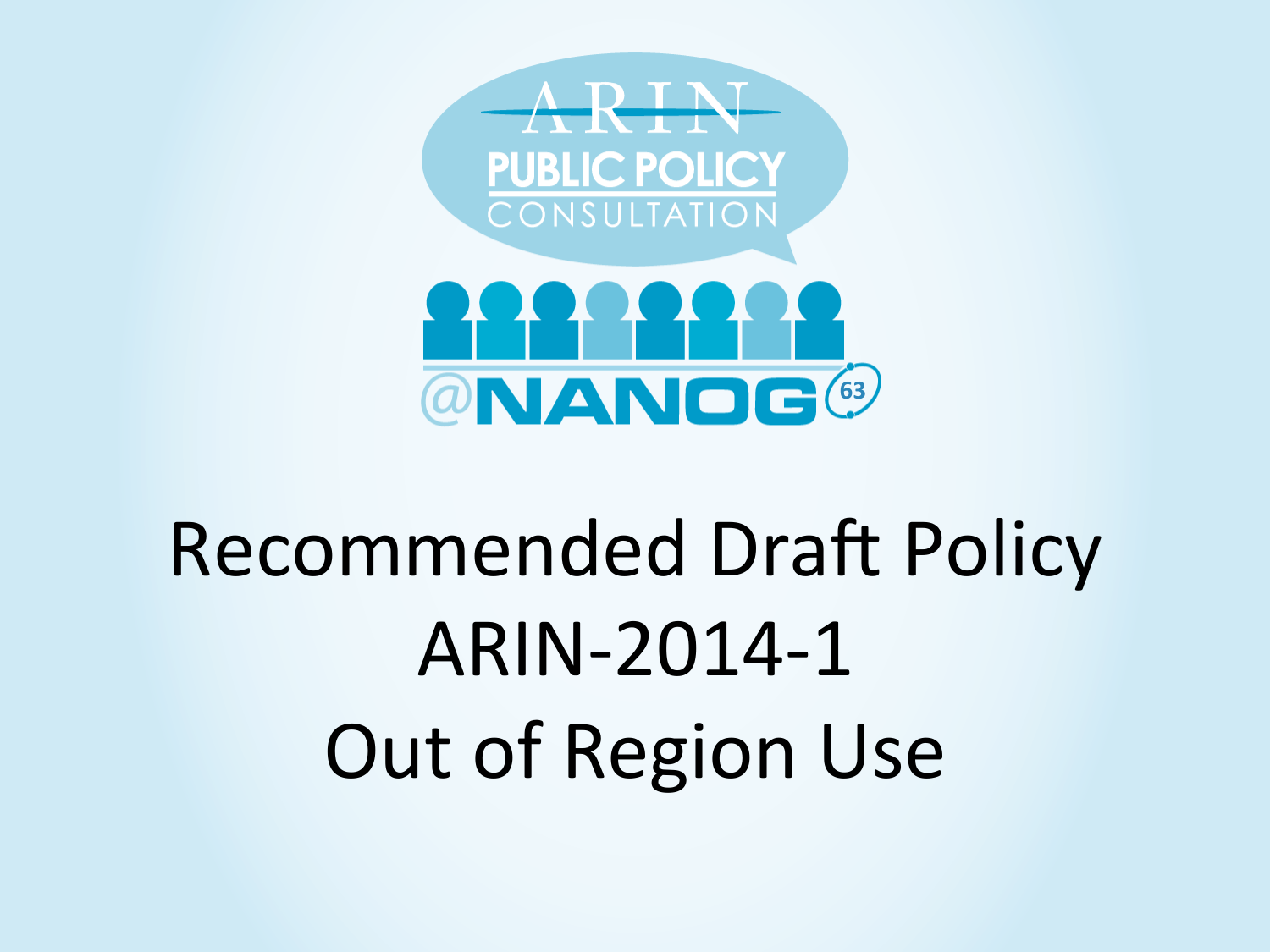

# Recommended Draft Policy ARIN-2014-1 Out of Region Use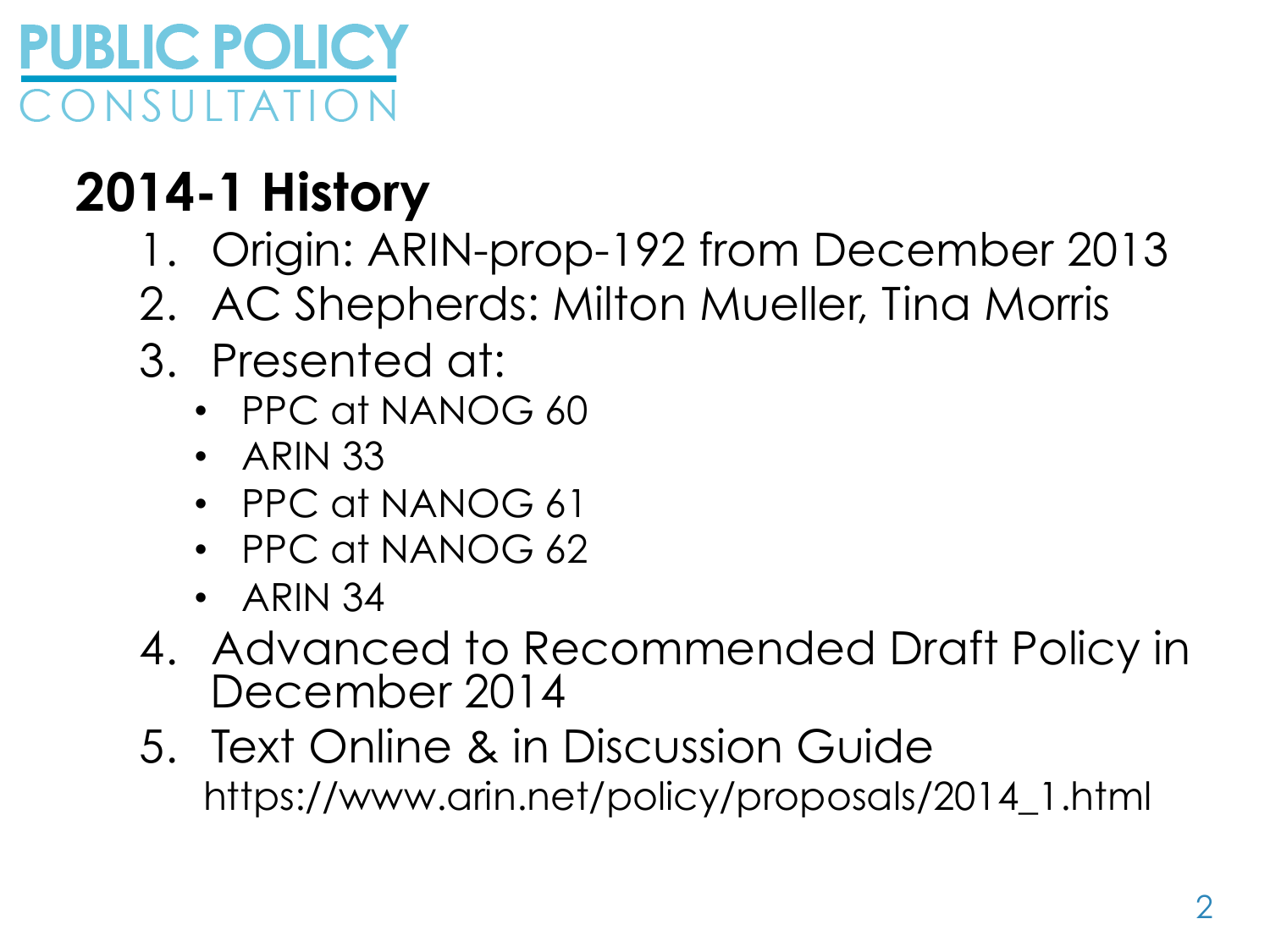

### **2014-1 History**

- 1. Origin: ARIN-prop-192 from December 2013
- 2. AC Shepherds: Milton Mueller, Tina Morris
- 3. Presented at:
	- PPC at NANOG 60
	- ARIN 33
	- PPC at NANOG 61
	- PPC at NANOG 62
	- ARIN 34
- 4. Advanced to Recommended Draft Policy in December 2014
- 5. Text Online & in Discussion Guide https://www.arin.net/policy/proposals/2014\_1.html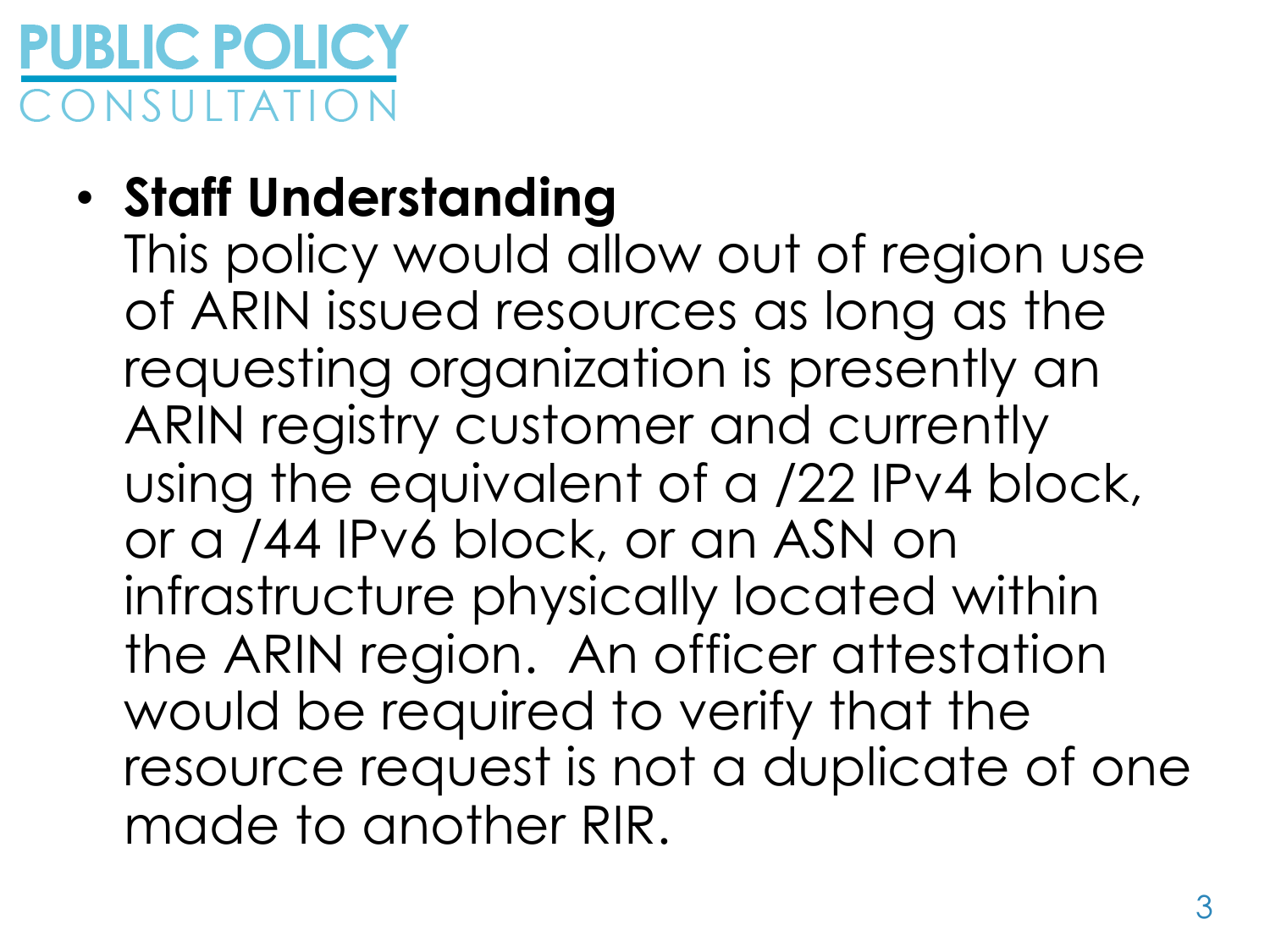

### • **Staff Understanding**

This policy would allow out of region use of ARIN issued resources as long as the requesting organization is presently an ARIN registry customer and currently using the equivalent of a /22 IPv4 block, or a /44 IPv6 block, or an ASN on infrastructure physically located within the ARIN region. An officer attestation would be required to verify that the resource request is not a duplicate of one made to another RIR.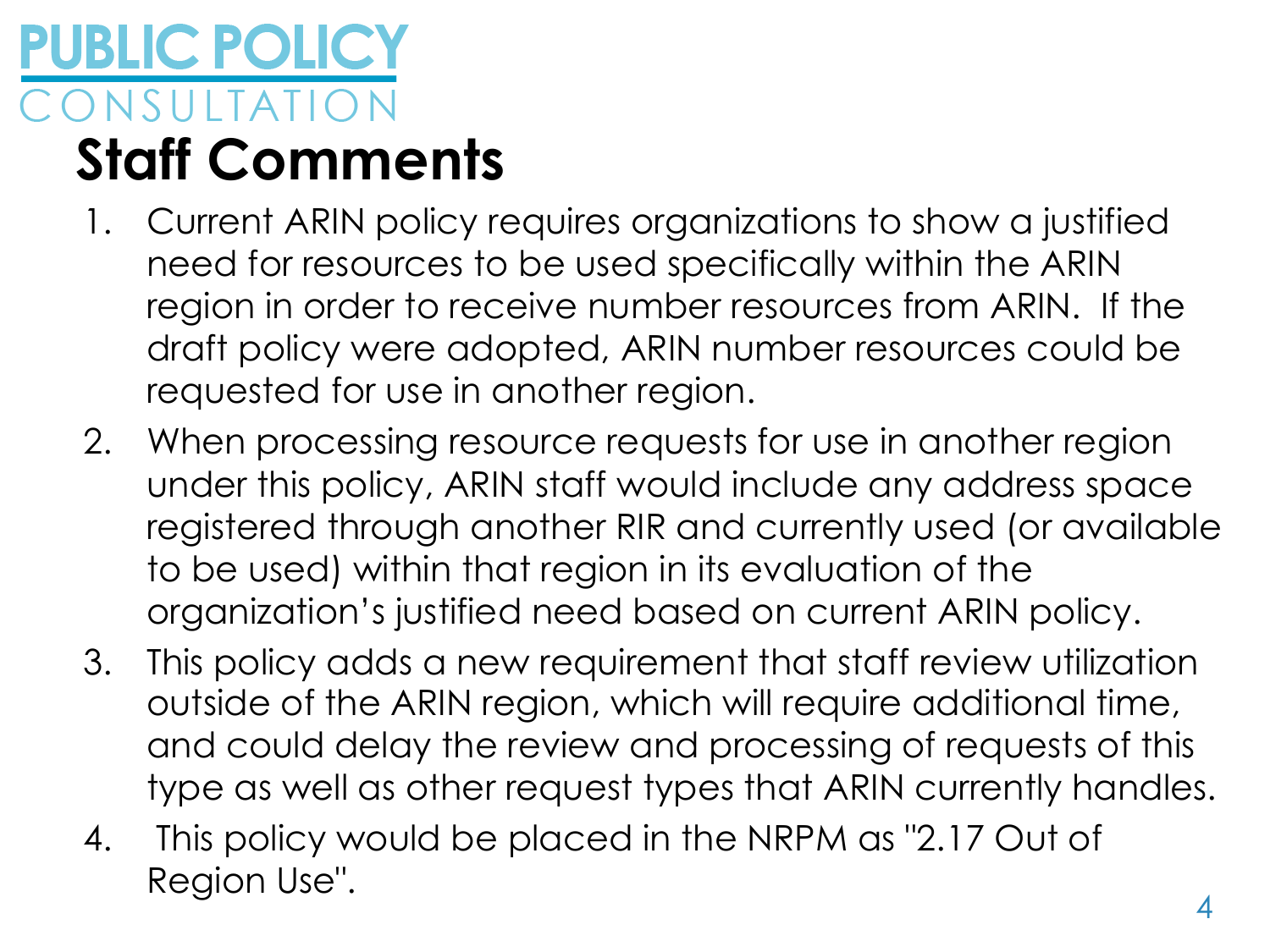### **PUBLIC POLICY Staff Comments**

- 1. Current ARIN policy requires organizations to show a justified need for resources to be used specifically within the ARIN region in order to receive number resources from ARIN. If the draft policy were adopted, ARIN number resources could be requested for use in another region.
- 2. When processing resource requests for use in another region under this policy, ARIN staff would include any address space registered through another RIR and currently used (or available to be used) within that region in its evaluation of the organization's justified need based on current ARIN policy.
- 3. This policy adds a new requirement that staff review utilization outside of the ARIN region, which will require additional time, and could delay the review and processing of requests of this type as well as other request types that ARIN currently handles.
- 4. This policy would be placed in the NRPM as "2.17 Out of Region Use".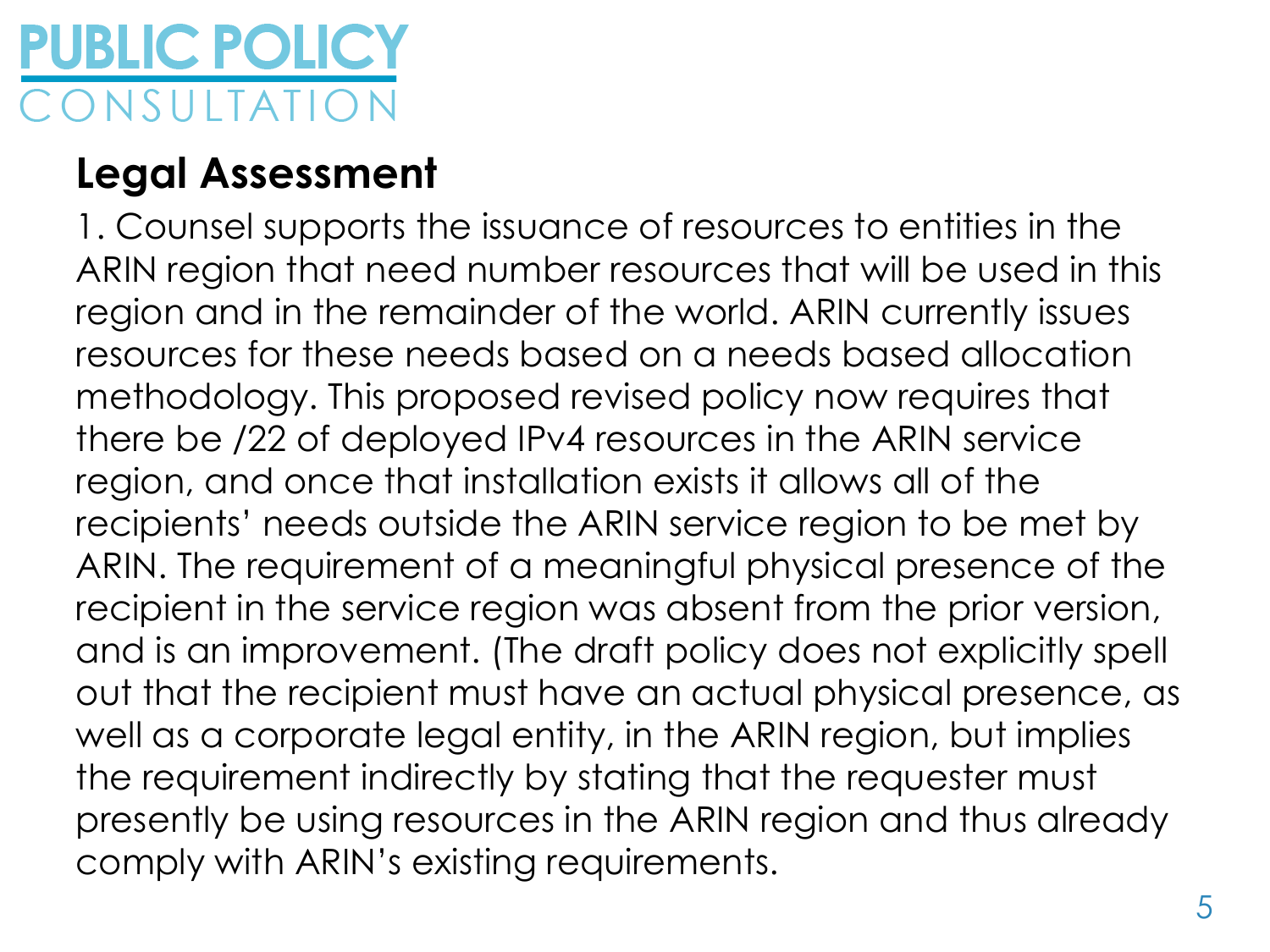# **PUBLIC POLICY**

#### **Legal Assessment**

1. Counsel supports the issuance of resources to entities in the ARIN region that need number resources that will be used in this region and in the remainder of the world. ARIN currently issues resources for these needs based on a needs based allocation methodology. This proposed revised policy now requires that there be /22 of deployed IPv4 resources in the ARIN service region, and once that installation exists it allows all of the recipients' needs outside the ARIN service region to be met by ARIN. The requirement of a meaningful physical presence of the recipient in the service region was absent from the prior version, and is an improvement. (The draft policy does not explicitly spell out that the recipient must have an actual physical presence, as well as a corporate legal entity, in the ARIN region, but implies the requirement indirectly by stating that the requester must presently be using resources in the ARIN region and thus already comply with ARIN's existing requirements.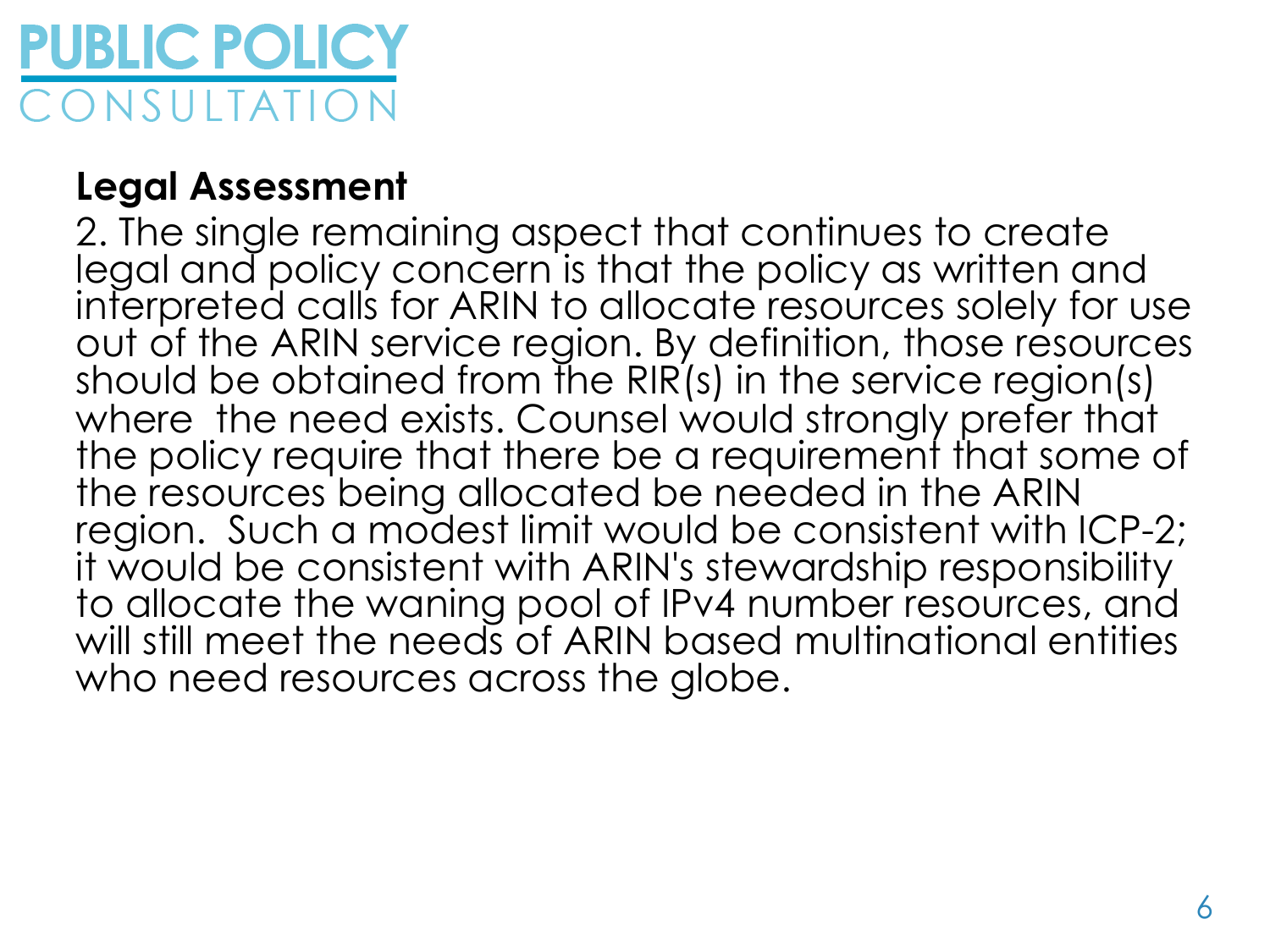

#### **Legal Assessment**

2. The single remaining aspect that continues to create legal and policy concern is that the policy as written and interpreted calls for ARIN to allocate resources solely for use out of the ARIN service region. By definition, those resources should be obtained from the RIR(s) in the service region(s) where the need exists. Counsel would strongly prefer that the policy require that there be a requirement that some of the resources being allocated be needed in the ARIN region. Such a modest limit would be consistent with ICP-2; it would be consistent with ARIN's stewardship responsibility to allocate the waning pool of IPv4 number resources, and will still meet the needs of ARIN based multinational entities who need resources across the globe.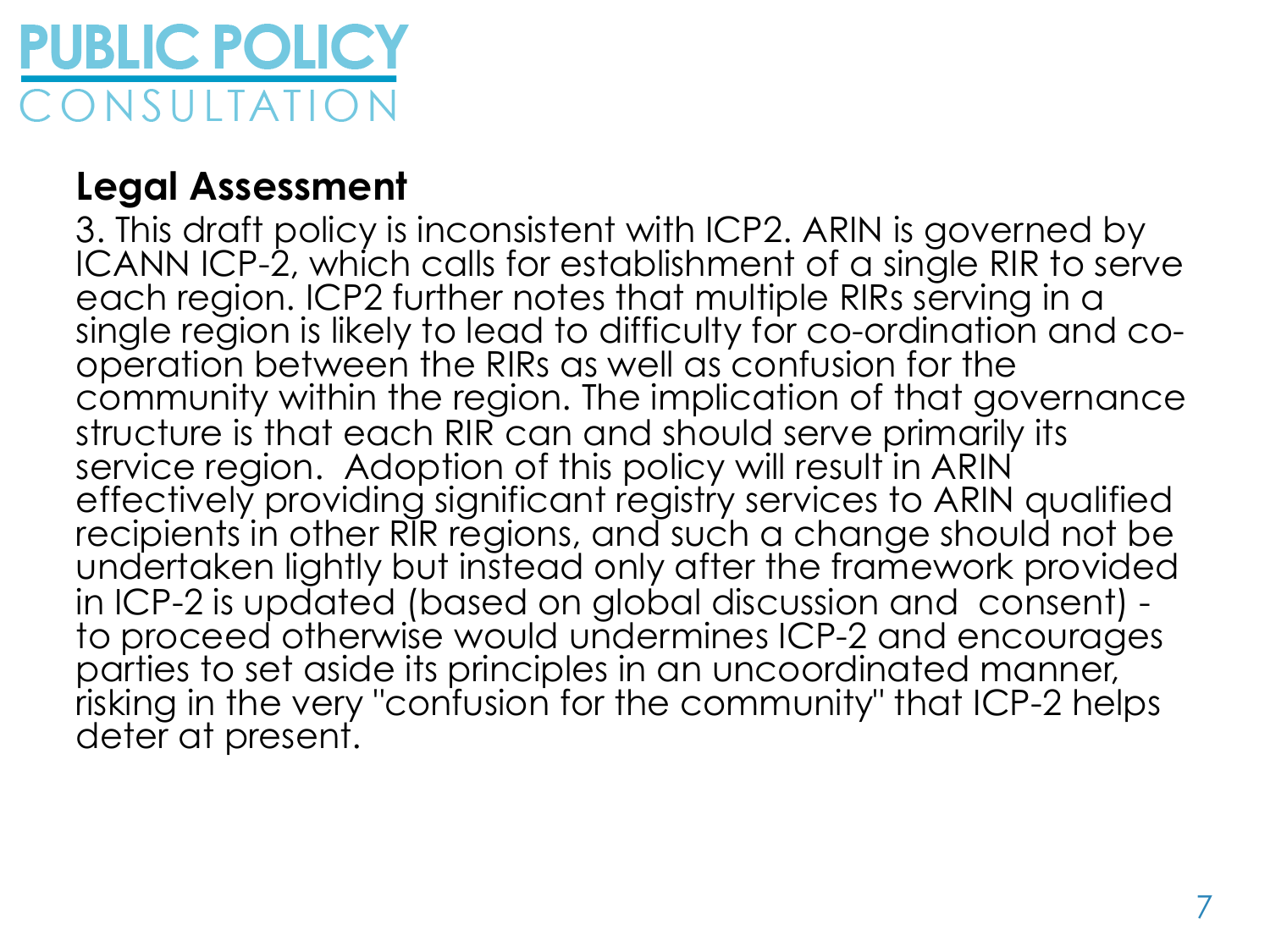

#### **Legal Assessment**

3. This draft policy is inconsistent with ICP2. ARIN is governed by ICANN ICP-2, which calls for establishment of a single RIR to serve each region. ICP2 further notes that multiple RIRs serving in a single region is likely to lead to difficulty for co-ordination and cooperation between the RIRs as well as confusion for the community within the region. The implication of that governance structure is that each RIR can and should serve primarily its service region. Adoption of this policy will result in ARIN effectively providing significant registry services to ARIN qualified recipients in other RIR regions, and such a change should not be undertaken lightly but instead only after the framework provided in ICP-2 is updated (based on global discussion and consent) - to proceed otherwise would undermines ICP-2 and encourages parties to set aside its principles in an uncoordinated manner, risking in the very "confusion for the community" that ICP-2 helps deter at present.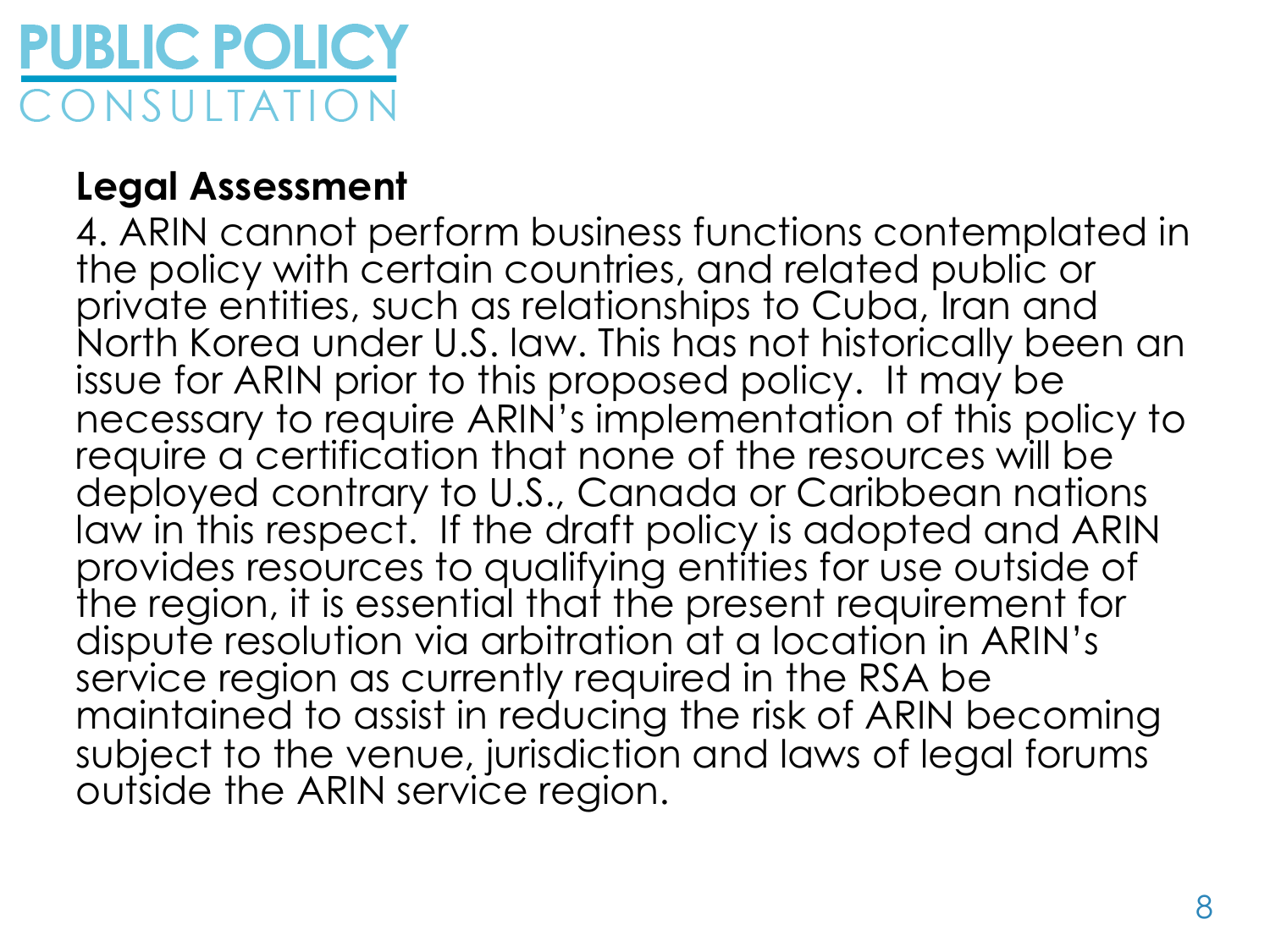

#### **Legal Assessment**

4. ARIN cannot perform business functions contemplated in the policy with certain countries, and related public or private entities, such as relationships to Cuba, Iran and North Korea under U.S. law. This has not historically been an issue for ARIN prior to this proposed policy. It may be necessary to require ARIN's implementation of this policy to require a certification that none of the resources will be deployed contrary to U.S., Canada or Caribbean nations law in this respect. If the draft policy is adopted and ARIN provides resources to qualifying entities for use outside of the region, it is essential that the present requirement for dispute resolution via arbitration at a location in ARIN's service region as currently required in the RSA be maintained to assist in reducing the risk of ARIN becoming subject to the venue, jurisdiction and laws of legal forums outside the ARIN service region.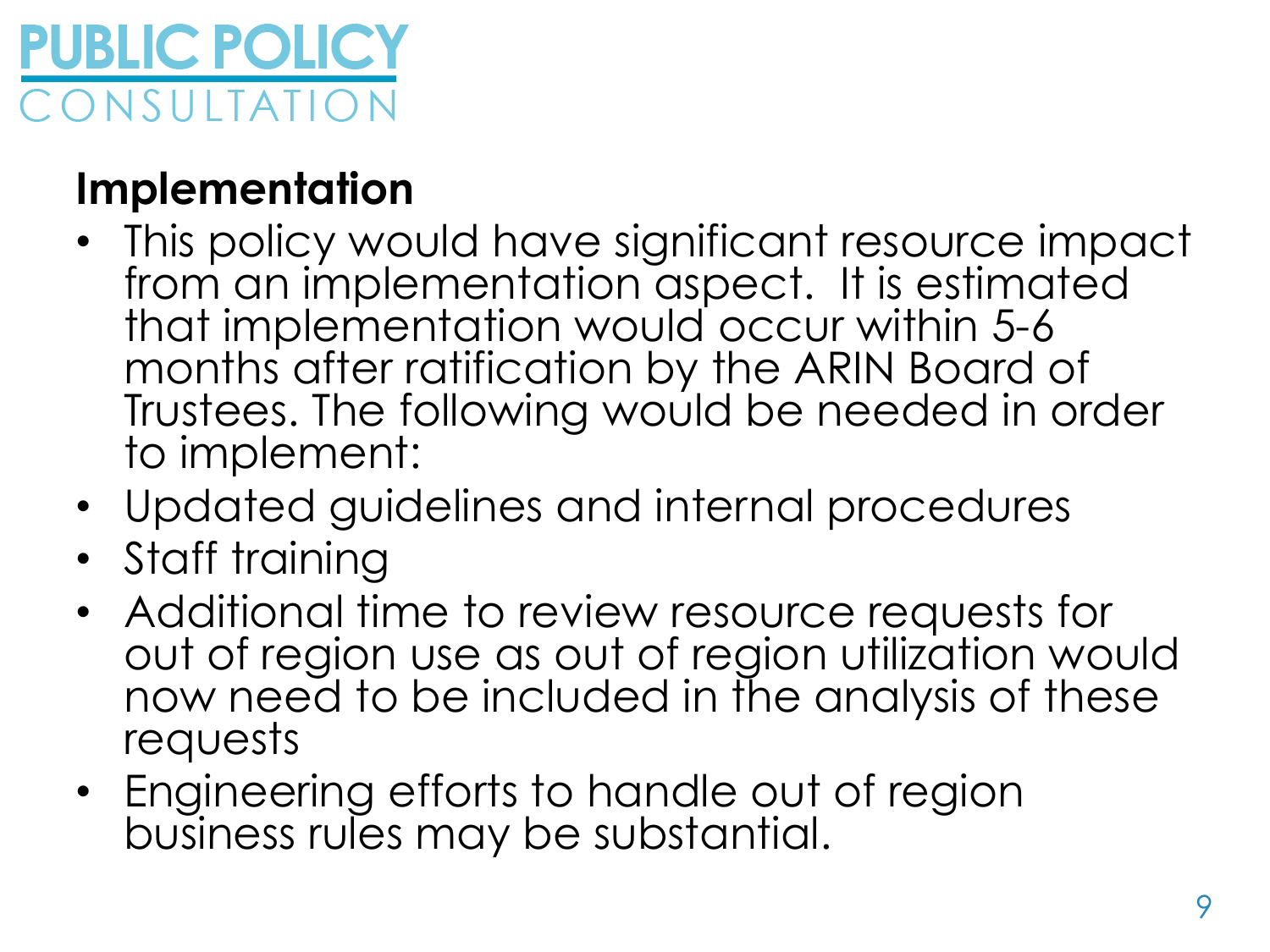

#### **Implementation**

- This policy would have significant resource impact from an implementation aspect. It is estimated that implementation would occur within 5-6 months after ratification by the ARIN Board of Trustees. The following would be needed in order to implement:
- Updated guidelines and internal procedures
- Staff training
- Additional time to review resource requests for out of region use as out of region utilization would now need to be included in the analysis of these requests
- Engineering efforts to handle out of region business rules may be substantial.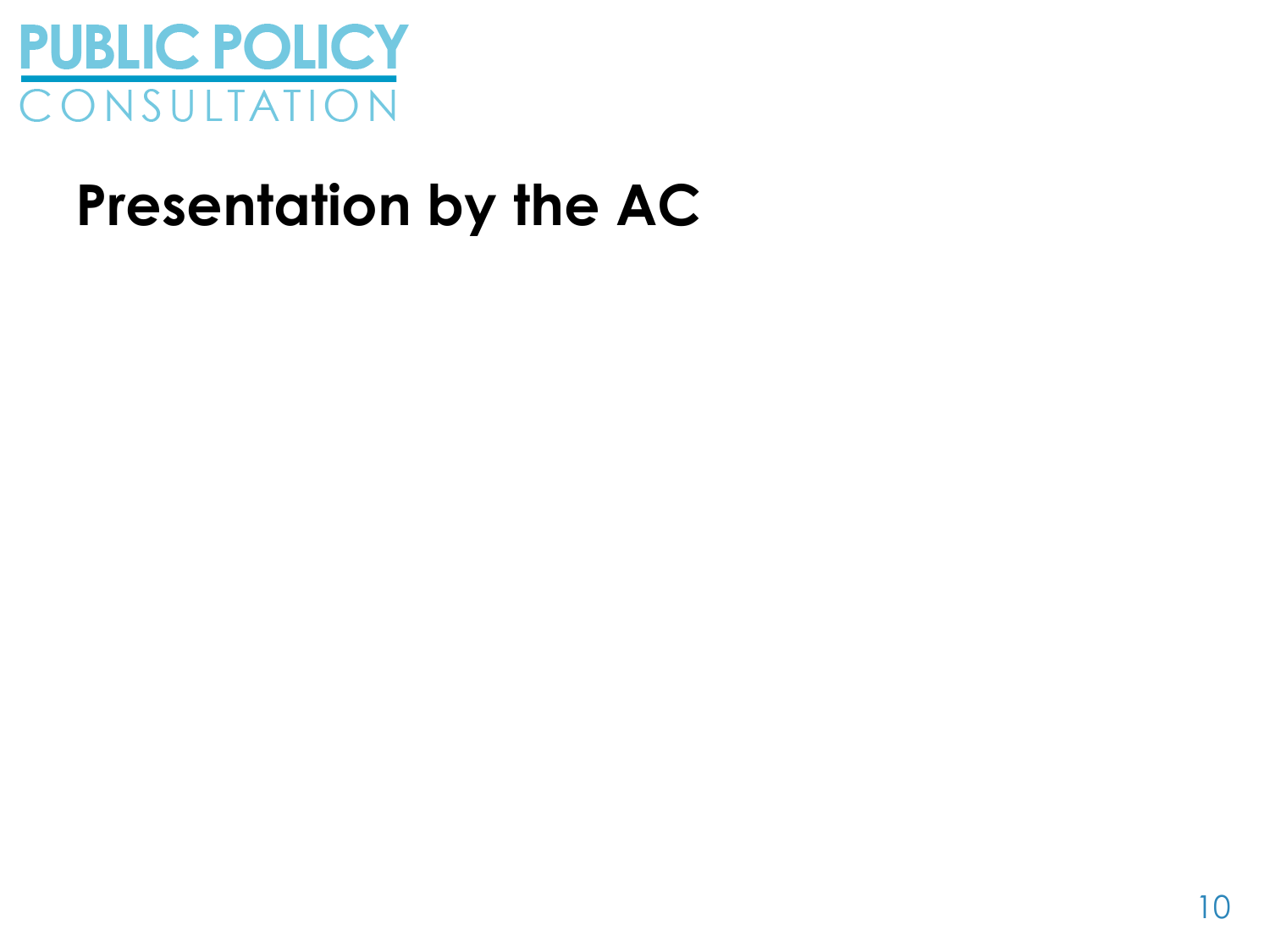

### **Presentation by the AC**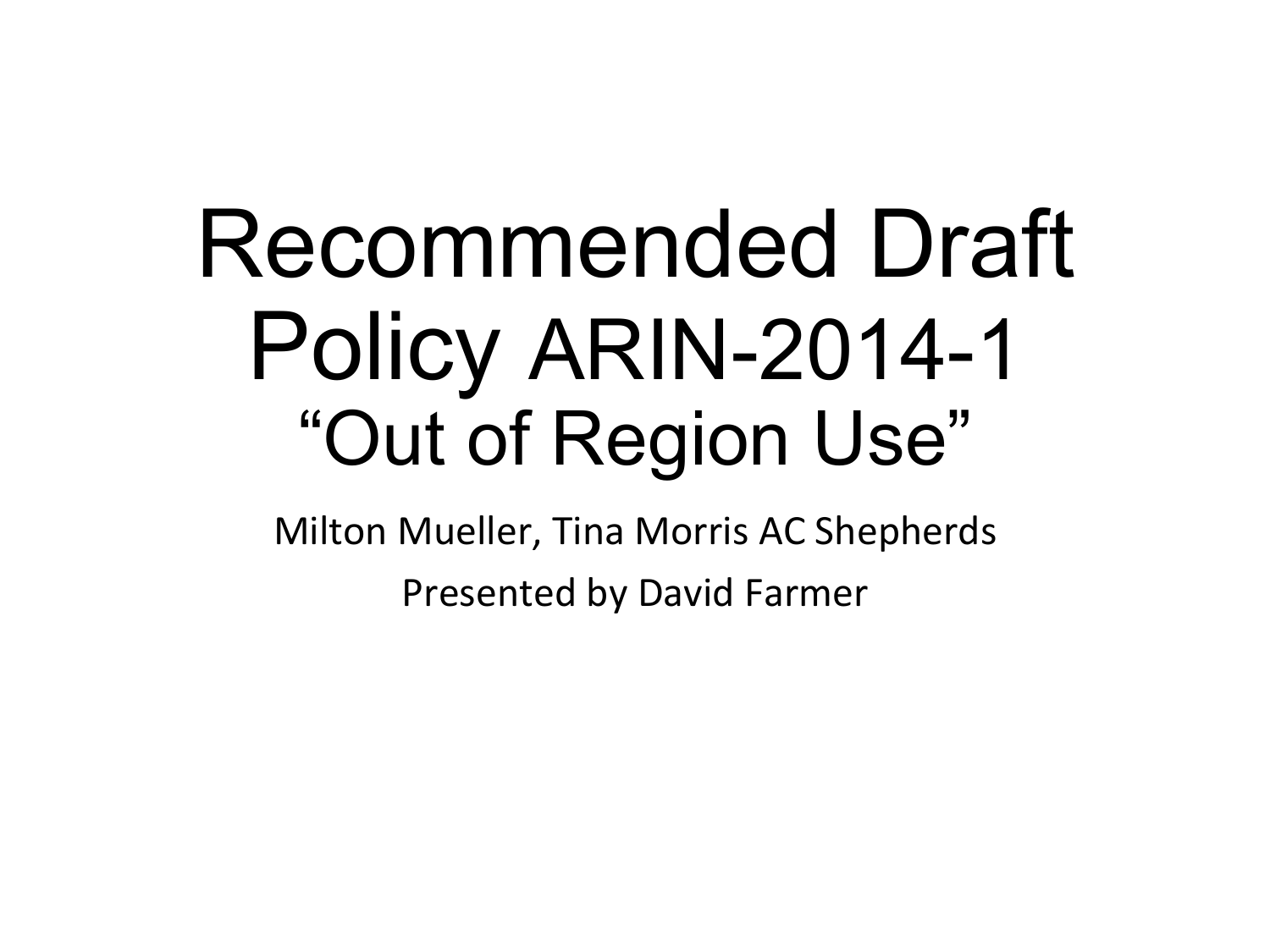# Recommended Draft Policy ARIN-2014-1 "Out of Region Use"

Milton Mueller, Tina Morris AC Shepherds Presented by David Farmer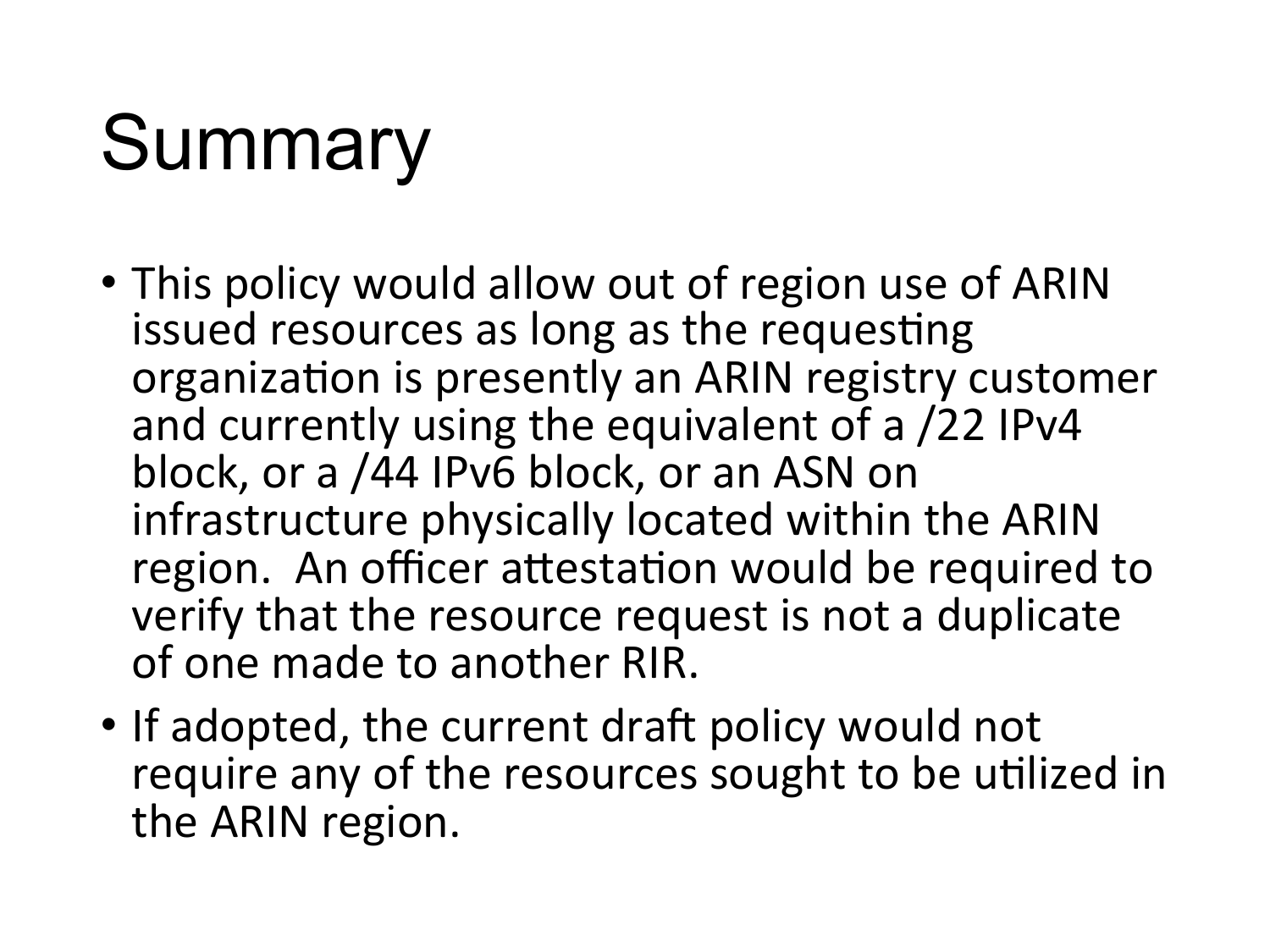# **Summary**

- This policy would allow out of region use of ARIN issued resources as long as the requesting organization is presently an ARIN registry customer and currently using the equivalent of a /22 IPv4 block, or a /44 IPv6 block, or an ASN on infrastructure physically located within the ARIN region. An officer attestation would be required to verify that the resource request is not a duplicate of one made to another RIR.
- If adopted, the current draft policy would not require any of the resources sought to be utilized in the ARIN region.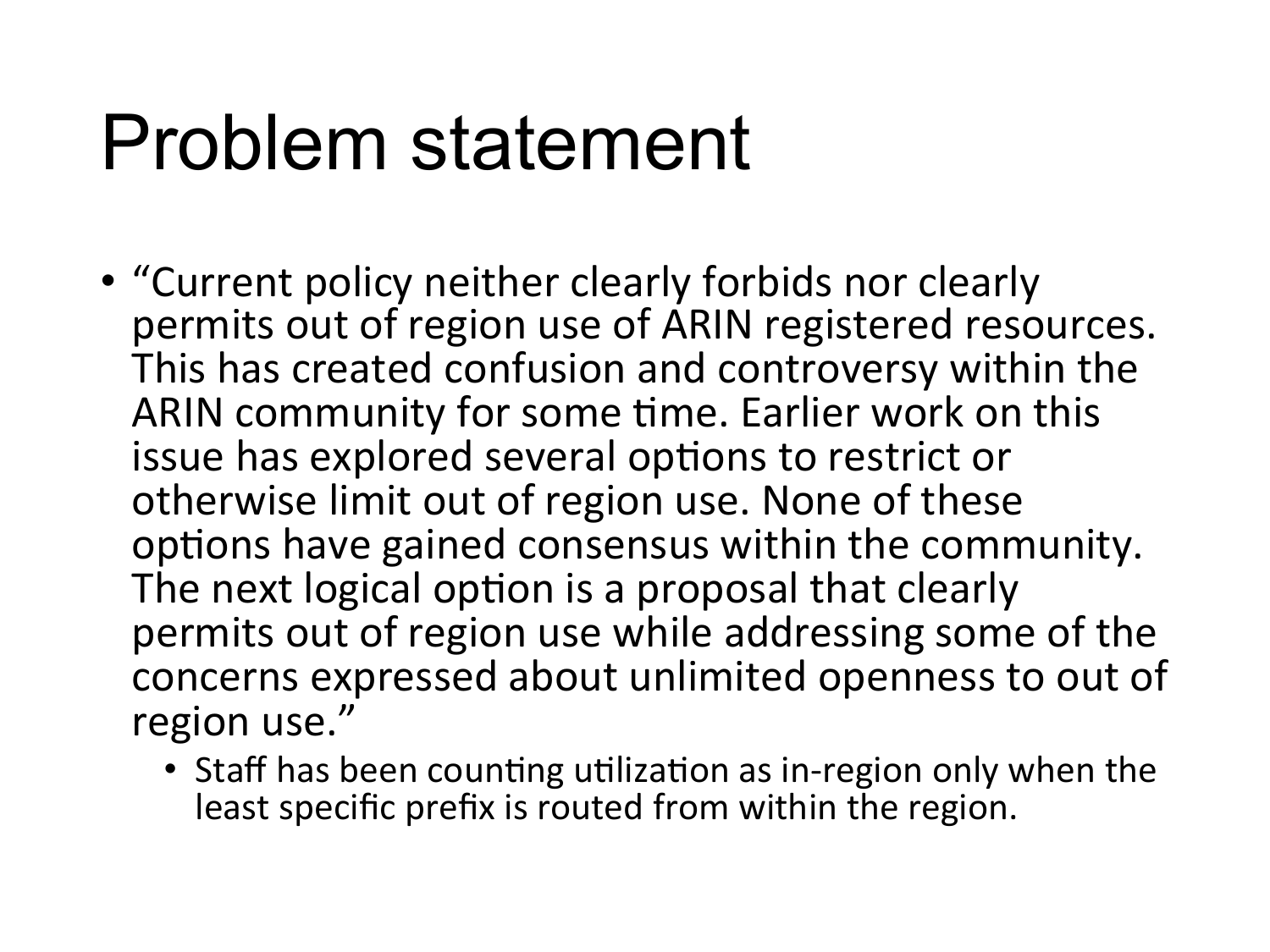### Problem statement

- "Current policy neither clearly forbids nor clearly permits out of region use of ARIN registered resources. This has created confusion and controversy within the ARIN community for some time. Earlier work on this issue has explored several options to restrict or otherwise limit out of region use. None of these options have gained consensus within the community. The next logical option is a proposal that clearly permits out of region use while addressing some of the concerns expressed about unlimited openness to out of region use."
	- Staff has been counting utilization as in-region only when the least specific prefix is routed from within the region.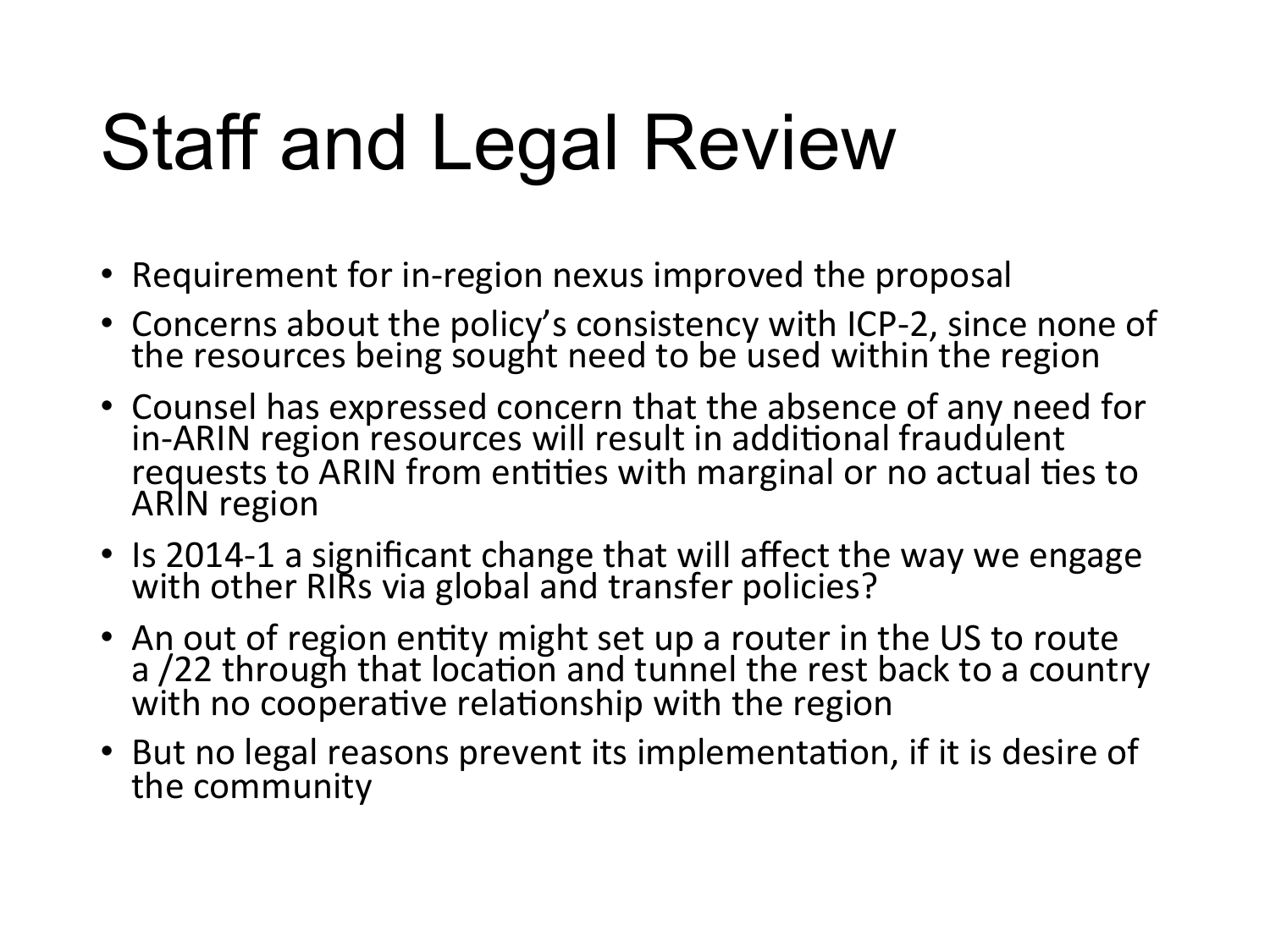## Staff and Legal Review

- Requirement for in-region nexus improved the proposal
- Concerns about the policy's consistency with ICP-2, since none of the resources being sought need to be used within the region
- Counsel has expressed concern that the absence of any need for<br>in-ARIN region resources will result in additional fraudulent requests to ARIN from entities with marginal or no actual ties to ARIN region
- Is 2014-1 a significant change that will affect the way we engage with other RIRs via global and transfer policies?
- An out of region entity might set up a router in the US to route a /22 through that location and tunnel the rest back to a country with no cooperative relationship with the region
- But no legal reasons prevent its implementation, if it is desire of the community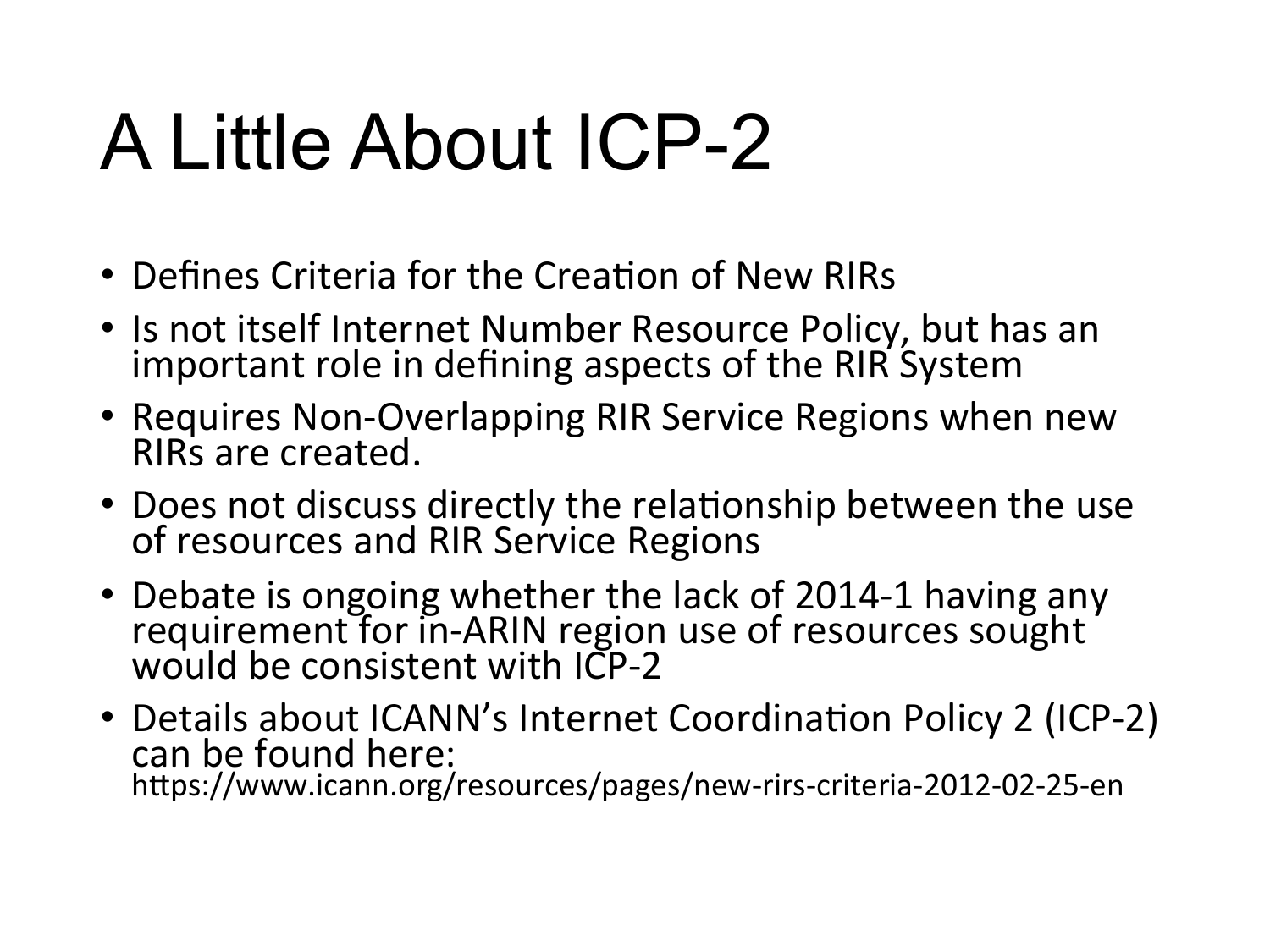### A Little About ICP-2

- Defines Criteria for the Creation of New RIRs
- Is not itself Internet Number Resource Policy, but has an important role in defining aspects of the RIR System
- Requires Non-Overlapping RIR Service Regions when new RIRs are created.
- Does not discuss directly the relationship between the use of resources and RIR Service Regions
- Debate is ongoing whether the lack of 2014-1 having any requirement for in-ARIN region use of resources sought would be consistent with ICP-2
- Details about ICANN's Internet Coordination Policy 2 (ICP-2) can be found here: https://www.icann.org/resources/pages/new-rirs-criteria-2012-02-25-en